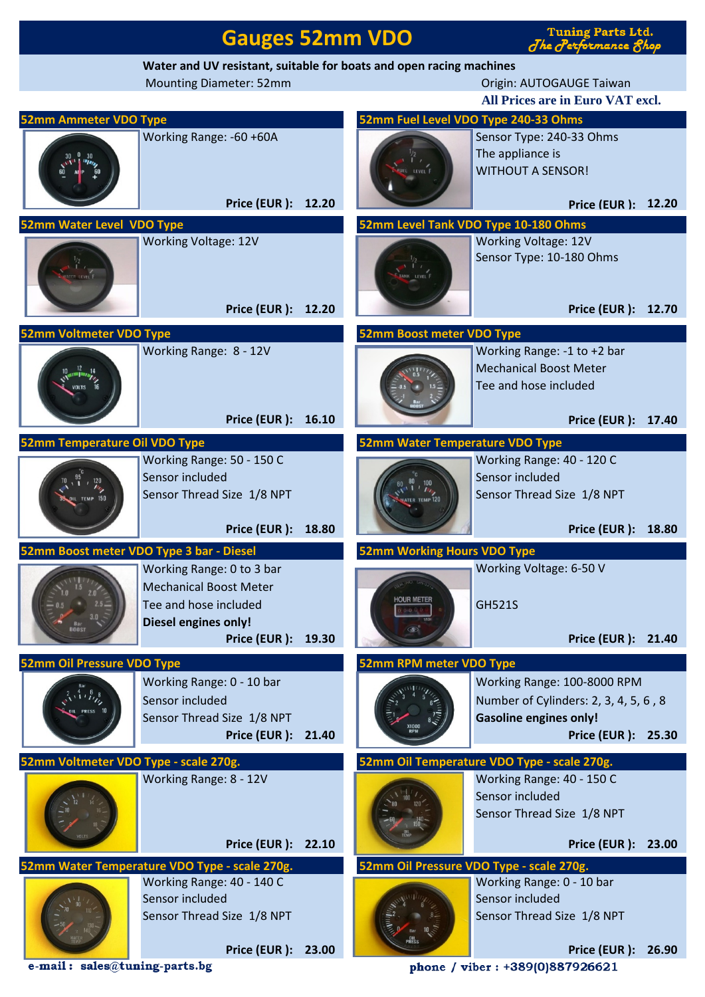|                                                                     | <b>Gauges 52mm VDO</b>                        | <b>Tuning Parts Ltd.</b><br>The Performance 8hop |                                             |                                                         |  |  |  |  |  |  |  |
|---------------------------------------------------------------------|-----------------------------------------------|--------------------------------------------------|---------------------------------------------|---------------------------------------------------------|--|--|--|--|--|--|--|
| Water and UV resistant, suitable for boats and open racing machines |                                               |                                                  |                                             |                                                         |  |  |  |  |  |  |  |
|                                                                     | <b>Mounting Diameter: 52mm</b>                | Origin: AUTOGAUGE Taiwan                         |                                             |                                                         |  |  |  |  |  |  |  |
|                                                                     |                                               | All Prices are in Euro VAT excl.                 |                                             |                                                         |  |  |  |  |  |  |  |
| <b>52mm Ammeter VDO Type</b>                                        |                                               |                                                  |                                             | 52mm Fuel Level VDO Type 240-33 Ohms                    |  |  |  |  |  |  |  |
|                                                                     | Working Range: -60 +60A                       |                                                  |                                             | Sensor Type: 240-33 Ohms<br>The appliance is            |  |  |  |  |  |  |  |
|                                                                     |                                               |                                                  | <b>UEL</b> LEVEL F                          | <b>WITHOUT A SENSOR!</b>                                |  |  |  |  |  |  |  |
|                                                                     |                                               |                                                  |                                             |                                                         |  |  |  |  |  |  |  |
|                                                                     | Price (EUR ): 12.20                           |                                                  |                                             | Price (EUR ): 12.20                                     |  |  |  |  |  |  |  |
| 52mm Water Level VDO Type                                           |                                               | 52mm Level Tank VDO Type 10-180 Ohms             |                                             |                                                         |  |  |  |  |  |  |  |
|                                                                     | <b>Working Voltage: 12V</b>                   |                                                  |                                             | <b>Working Voltage: 12V</b><br>Sensor Type: 10-180 Ohms |  |  |  |  |  |  |  |
|                                                                     |                                               |                                                  | INK LEVEL F                                 |                                                         |  |  |  |  |  |  |  |
|                                                                     |                                               |                                                  |                                             |                                                         |  |  |  |  |  |  |  |
|                                                                     | Price (EUR ): 12.20                           |                                                  |                                             | Price (EUR ): 12.70                                     |  |  |  |  |  |  |  |
| 52mm Boost meter VDO Type<br><b>52mm Voltmeter VDO Type</b>         |                                               |                                                  |                                             |                                                         |  |  |  |  |  |  |  |
|                                                                     | Working Range: 8 - 12V                        |                                                  |                                             | Working Range: -1 to +2 bar                             |  |  |  |  |  |  |  |
|                                                                     |                                               |                                                  |                                             | <b>Mechanical Boost Meter</b>                           |  |  |  |  |  |  |  |
|                                                                     |                                               |                                                  |                                             | Tee and hose included                                   |  |  |  |  |  |  |  |
|                                                                     |                                               |                                                  |                                             |                                                         |  |  |  |  |  |  |  |
|                                                                     | Price (EUR ): 16.10                           |                                                  |                                             | Price (EUR ): 17.40                                     |  |  |  |  |  |  |  |
| 52mm Temperature Oil VDO Type                                       |                                               |                                                  | 52mm Water Temperature VDO Type             |                                                         |  |  |  |  |  |  |  |
|                                                                     | Working Range: 50 - 150 C<br>Sensor included  |                                                  |                                             | Working Range: 40 - 120 C<br>Sensor included            |  |  |  |  |  |  |  |
| 120                                                                 | Sensor Thread Size 1/8 NPT                    |                                                  | 100<br>TER TEMP <sup>120</sup>              | Sensor Thread Size 1/8 NPT                              |  |  |  |  |  |  |  |
|                                                                     |                                               |                                                  |                                             |                                                         |  |  |  |  |  |  |  |
|                                                                     | Price (EUR ): 18.80                           |                                                  |                                             | Price (EUR ): 18.80                                     |  |  |  |  |  |  |  |
|                                                                     | 52mm Boost meter VDO Type 3 bar - Diesel      | <b>52mm Working Hours VDO Type</b>               |                                             |                                                         |  |  |  |  |  |  |  |
|                                                                     | Working Range: 0 to 3 bar                     |                                                  |                                             | Working Voltage: 6-50 V                                 |  |  |  |  |  |  |  |
|                                                                     | <b>Mechanical Boost Meter</b>                 |                                                  | <b>HOUR METER</b>                           |                                                         |  |  |  |  |  |  |  |
|                                                                     | Tee and hose included                         |                                                  |                                             | <b>GH521S</b>                                           |  |  |  |  |  |  |  |
|                                                                     | <b>Diesel engines only!</b>                   |                                                  |                                             | Price (EUR ): 21.40                                     |  |  |  |  |  |  |  |
| Price (EUR ): 19.30                                                 |                                               |                                                  |                                             |                                                         |  |  |  |  |  |  |  |
| <b>52mm Oil Pressure VDO Type</b>                                   | Working Range: 0 - 10 bar                     |                                                  | 52mm RPM meter VDO Type                     | Working Range: 100-8000 RPM                             |  |  |  |  |  |  |  |
|                                                                     | Sensor included                               |                                                  |                                             | Number of Cylinders: 2, 3, 4, 5, 6, 8                   |  |  |  |  |  |  |  |
|                                                                     | Sensor Thread Size 1/8 NPT                    |                                                  |                                             | <b>Gasoline engines only!</b>                           |  |  |  |  |  |  |  |
|                                                                     | Price (EUR ): 21.40                           |                                                  |                                             | Price (EUR ): 25.30                                     |  |  |  |  |  |  |  |
| 52mm Voltmeter VDO Type - scale 270g.                               |                                               |                                                  | 52mm Oil Temperature VDO Type - scale 270g. |                                                         |  |  |  |  |  |  |  |
|                                                                     | Working Range: 8 - 12V                        |                                                  |                                             | Working Range: 40 - 150 C                               |  |  |  |  |  |  |  |
|                                                                     |                                               |                                                  |                                             | Sensor included                                         |  |  |  |  |  |  |  |
|                                                                     |                                               |                                                  |                                             | Sensor Thread Size 1/8 NPT                              |  |  |  |  |  |  |  |
|                                                                     | Price (EUR ): 22.10                           |                                                  |                                             | Price (EUR ): 23.00                                     |  |  |  |  |  |  |  |
|                                                                     | 52mm Water Temperature VDO Type - scale 270g. |                                                  |                                             | 52mm Oil Pressure VDO Type - scale 270g.                |  |  |  |  |  |  |  |
|                                                                     | Working Range: 40 - 140 C                     |                                                  |                                             | Working Range: 0 - 10 bar                               |  |  |  |  |  |  |  |
|                                                                     | Sensor included                               |                                                  |                                             | Sensor included                                         |  |  |  |  |  |  |  |
|                                                                     | Sensor Thread Size 1/8 NPT                    |                                                  |                                             | Sensor Thread Size 1/8 NPT                              |  |  |  |  |  |  |  |
|                                                                     |                                               |                                                  |                                             |                                                         |  |  |  |  |  |  |  |
|                                                                     | Price (EUR ): 23.00                           |                                                  |                                             | Price (EUR ): 26.90                                     |  |  |  |  |  |  |  |

e-mail: sales@tuning-parts.bg

phone / viber: +389(0)887926621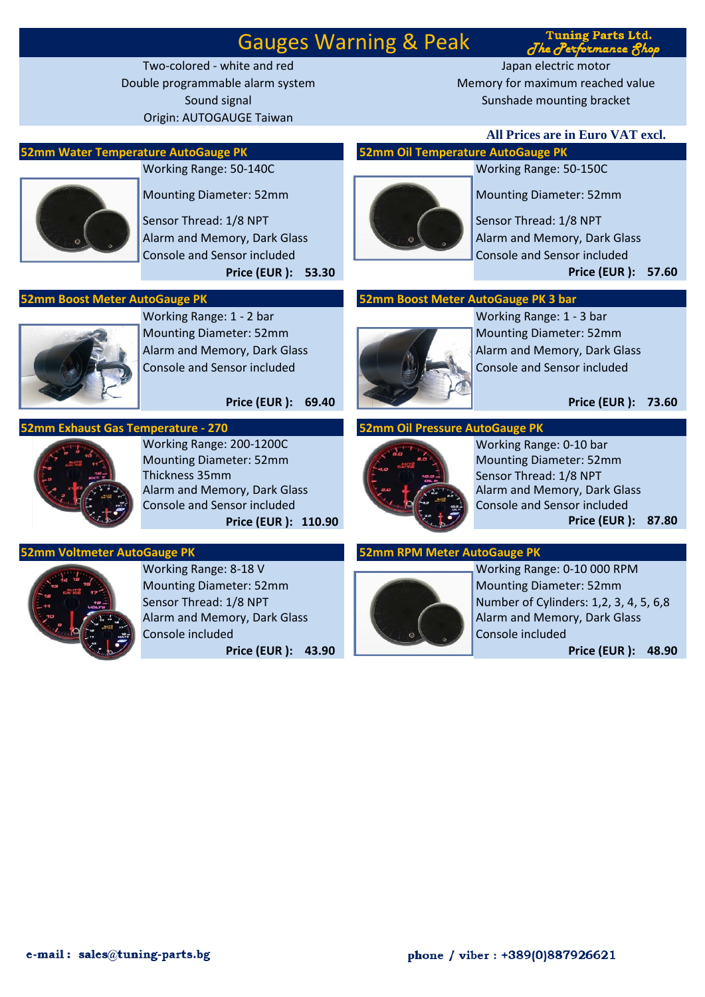## Gauges Warning & Peak

Origin: AUTOGAUGE Taiwan

Two-colored - white and red Japan electric motor Double programmable alarm system Memory for maximum reached value Sound signal Sunshade mounting bracket

### **52mm Water Temperature AutoGauge PK 52mm Oil Temperature AutoGauge PK**



Sensor Thread: 1/8 NPT Sensor Thread: 1/8 NPT

Console and Sensor included Console and Sensor included



Working Range: 1 - 2 bar Working Range: 1 - 3 bar Mounting Diameter: 52mm Mounting Diameter: 52mm Alarm and Memory, Dark Glass Alarm and Memory, Dark Glass Alarm and Memory, Dark Glass Console and Sensor included Console and Sensor included

**Price (EUR ): 69.40 Price (EUR ): 73.60**

## **52mm Exhaust Gas Temperature - 270 52mm Oil Pressure AutoGauge PK**



Working Range: 200-1200C Working Range: 0-10 bar Mounting Diameter: 52mm Mounting Diameter: 52mm Thickness 35mm Sensor Thread: 1/8 NPT Console and Sensor included Console and Sensor included

### **52mm Voltmeter AutoGauge PK 52mm RPM Meter AutoGauge PK**



Mounting Diameter: 52mm Mounting Diameter: 52mm Alarm and Memory, Dark Glass Alarm and Memory, Dark Glass Console included Console included

**All Prices are in Euro VAT excl.**

**Tuning Parts Ltd.** The Performance Rhop

## Working Range: 50-140С Working Range: 50-150С



Mounting Diameter: 52mm Mounting Diameter: 52mm

Alarm and Memory, Dark Glass Alarm and Memory, Dark Glass Alarm and Memory, Dark Glass **Price (EUR ): 53.30 Price (EUR ): 57.60**

## **52mm Boost Meter AutoGauge PK 52mm Boost Meter AutoGauge PK 3 bar**





Alarm and Memory, Dark Glass **Price (EUR ): 110.90 Price (EUR ): 87.80**



Working Range: 8-18 V Working Range: 0-10 000 RPM Sensor Thread: 1/8 NPT Number of Cylinders: 1,2, 3, 4, 5, 6,8 **Price (EUR ): 43.90 Price (EUR ): 48.90**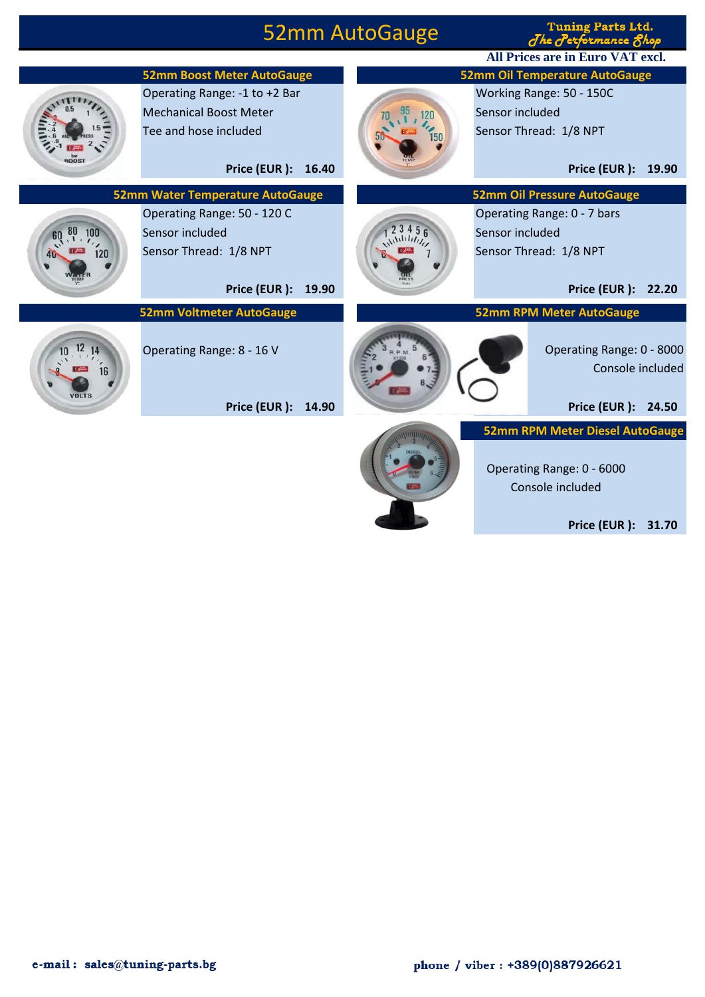## 52mm AutoGauge

**Tuning Parts Ltd.**  $d$ hec **All Prices are in Euro VAT excl.**





Operating Range: 0 - 6000 Console included

**Price (EUR ): 31.70**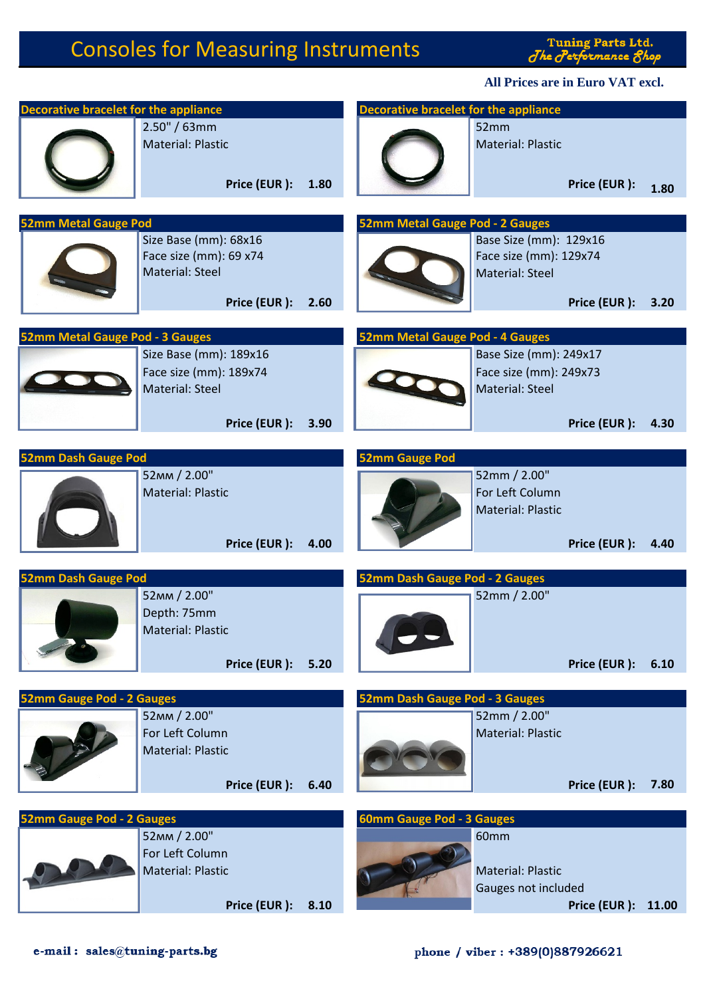# Consoles for Measuring Instruments

Tuning Parts Ltd.<br>Jhe Jerformance Shop

**All Prices are in Euro VAT excl.**

| <b>Decorative bracelet for the appliance</b> |                                                                                    |      | <b>Decorative bracelet for the appliance</b> |                                                                            |                     |      |
|----------------------------------------------|------------------------------------------------------------------------------------|------|----------------------------------------------|----------------------------------------------------------------------------|---------------------|------|
|                                              | 2.50" / 63mm<br><b>Material: Plastic</b><br>Price (EUR):                           | 1.80 |                                              | 52mm<br><b>Material: Plastic</b>                                           | Price (EUR):        | 1.80 |
| <b>52mm Metal Gauge Pod</b>                  |                                                                                    |      | 52mm Metal Gauge Pod - 2 Gauges              |                                                                            |                     |      |
|                                              | Size Base (mm): 68x16<br>Face size (mm): 69 x74<br>Material: Steel<br>Price (EUR): | 2.60 |                                              | Base Size (mm): 129x16<br>Face size (mm): 129x74<br><b>Material: Steel</b> | Price (EUR):        | 3.20 |
|                                              |                                                                                    |      |                                              |                                                                            |                     |      |
| <b>52mm Metal Gauge Pod - 3 Gauges</b>       | Size Base (mm): 189x16<br>Face size (mm): 189x74<br>Material: Steel                |      | 52mm Metal Gauge Pod - 4 Gauges              | Base Size (mm): 249x17<br>Face size (mm): 249x73<br><b>Material: Steel</b> |                     |      |
|                                              | Price (EUR):                                                                       | 3.90 |                                              |                                                                            | Price (EUR):        | 4.30 |
| <b>52mm Dash Gauge Pod</b>                   |                                                                                    |      | <b>52mm Gauge Pod</b>                        |                                                                            |                     |      |
|                                              | 52MM / 2.00"<br><b>Material: Plastic</b><br>Price (EUR):                           | 4.00 |                                              | 52mm / 2.00"<br>For Left Column<br><b>Material: Plastic</b>                | Price (EUR):        | 4.40 |
| <b>52mm Dash Gauge Pod</b>                   |                                                                                    |      | 52mm Dash Gauge Pod - 2 Gauges               |                                                                            |                     |      |
|                                              | 52MM / 2.00"<br>Depth: 75mm<br><b>Material: Plastic</b><br>Price (EUR):            | 5.20 |                                              | 52mm / 2.00"                                                               | Price (EUR ): 6.10  |      |
| <b>52mm Gauge Pod - 2 Gauges</b>             |                                                                                    |      | 52mm Dash Gauge Pod - 3 Gauges               |                                                                            |                     |      |
|                                              | 52MM / 2.00"<br>For Left Column<br><b>Material: Plastic</b><br>Price (EUR):        | 6.40 |                                              | 52mm / 2.00"<br><b>Material: Plastic</b>                                   | Price (EUR):        | 7.80 |
|                                              |                                                                                    |      |                                              |                                                                            |                     |      |
| <b>52mm Gauge Pod - 2 Gauges</b>             | 52MM / 2.00"<br>For Left Column<br>Material: Plastic<br>Price (EUR): 8.10          |      | <b>60mm Gauge Pod - 3 Gauges</b>             | 60mm<br><b>Material: Plastic</b><br>Gauges not included                    | Price (EUR ): 11.00 |      |